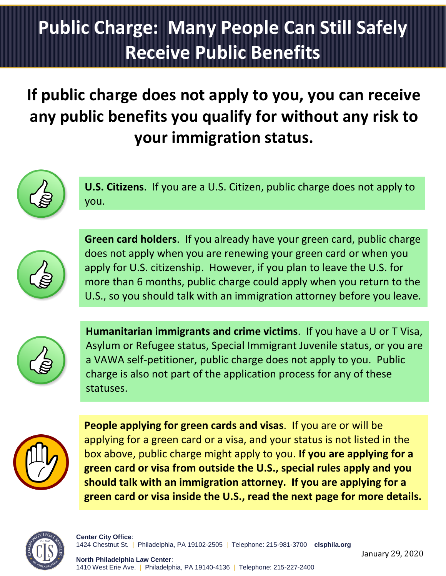## **Public Charge: Many People Can Still Safely Receive Public Benefits**

If public charge does not apply to you, you can receive any public benefits you qualify for without any risk to **your immigration status.**



**U.S. Citizens**. If you are a U.S. Citizen, public charge does not apply to you.



**Green card holders**. If you already have your green card, public charge does not apply when you are renewing your green card or when you apply for U.S. citizenship. However, if you plan to leave the U.S. for more than 6 months, public charge could apply when you return to the U.S., so you should talk with an immigration attorney before you leave.



**Humanitarian immigrants and crime victims**. If you have a U or T Visa, Asylum or Refugee status, Special Immigrant Juvenile status, or you are a VAWA self-petitioner, public charge does not apply to you. Public charge is also not part of the application process for any of these statuses.



**People applying for green cards and visas**. If you are or will be applying for a green card or a visa, and your status is not listed in the box above, public charge might apply to you. **If you are applying for a green card or visa from outside the U.S., special rules apply and you should talk with an immigration attorney. If you are applying for a green card or visa inside the U.S., read the next page for more details.**